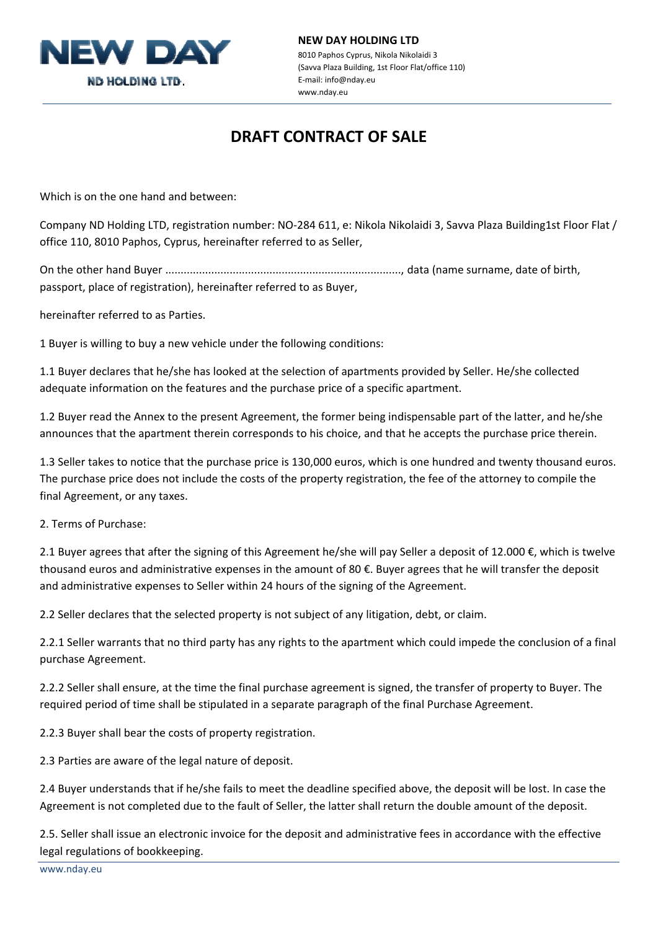

## **NEW DAY HOLDING LTD** 8010 Paphos Cyprus, Nikola Nikolaidi 3 (Savva Plaza Building, 1st Floor Flat/office 110) E‐mail: info@nday.eu www.nday.eu

## **DRAFT CONTRACT OF SALE**

Which is on the one hand and between:

Company ND Holding LTD, registration number: NO‐284 611, e: Nikola Nikolaidi 3, Savva Plaza Building1st Floor Flat / office 110, 8010 Paphos, Cyprus, hereinafter referred to as Seller,

On the other hand Buyer ............................................................................., data (name surname, date of birth, passport, place of registration), hereinafter referred to as Buyer,

hereinafter referred to as Parties.

1 Buyer is willing to buy a new vehicle under the following conditions:

1.1 Buyer declares that he/she has looked at the selection of apartments provided by Seller. He/she collected adequate information on the features and the purchase price of a specific apartment.

1.2 Buyer read the Annex to the present Agreement, the former being indispensable part of the latter, and he/she announces that the apartment therein corresponds to his choice, and that he accepts the purchase price therein.

1.3 Seller takes to notice that the purchase price is 130,000 euros, which is one hundred and twenty thousand euros. The purchase price does not include the costs of the property registration, the fee of the attorney to compile the final Agreement, or any taxes.

2. Terms of Purchase:

2.1 Buyer agrees that after the signing of this Agreement he/she will pay Seller a deposit of 12.000 €, which is twelve thousand euros and administrative expenses in the amount of 80 €. Buyer agrees that he will transfer the deposit and administrative expenses to Seller within 24 hours of the signing of the Agreement.

2.2 Seller declares that the selected property is not subject of any litigation, debt, or claim.

2.2.1 Seller warrants that no third party has any rights to the apartment which could impede the conclusion of a final purchase Agreement.

2.2.2 Seller shall ensure, at the time the final purchase agreement is signed, the transfer of property to Buyer. The required period of time shall be stipulated in a separate paragraph of the final Purchase Agreement.

2.2.3 Buyer shall bear the costs of property registration.

2.3 Parties are aware of the legal nature of deposit.

2.4 Buyer understands that if he/she fails to meet the deadline specified above, the deposit will be lost. In case the Agreement is not completed due to the fault of Seller, the latter shall return the double amount of the deposit.

2.5. Seller shall issue an electronic invoice for the deposit and administrative fees in accordance with the effective legal regulations of bookkeeping.